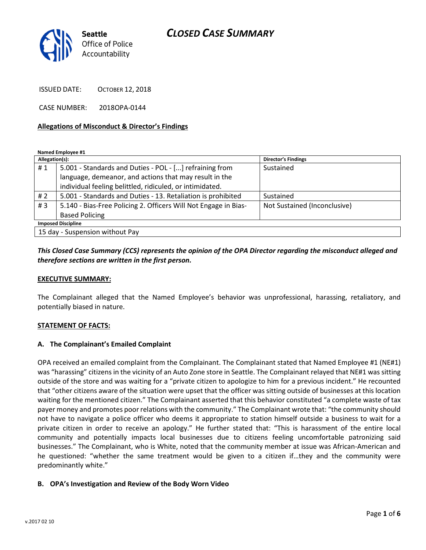# CLOSED CASE SUMMARY



ISSUED DATE: OCTOBER 12, 2018

CASE NUMBER: 2018OPA-0144

### Allegations of Misconduct & Director's Findings

Named Employee #1

| Allegation(s):                  |                                                                 | <b>Director's Findings</b>   |
|---------------------------------|-----------------------------------------------------------------|------------------------------|
| #1                              | 5.001 - Standards and Duties - POL - [] refraining from         | Sustained                    |
|                                 | language, demeanor, and actions that may result in the          |                              |
|                                 | individual feeling belittled, ridiculed, or intimidated.        |                              |
| # $2$                           | 5.001 - Standards and Duties - 13. Retaliation is prohibited    | Sustained                    |
| #3                              | 5.140 - Bias-Free Policing 2. Officers Will Not Engage in Bias- | Not Sustained (Inconclusive) |
|                                 | <b>Based Policing</b>                                           |                              |
| <b>Imposed Discipline</b>       |                                                                 |                              |
| 15 day - Suspension without Pay |                                                                 |                              |

### This Closed Case Summary (CCS) represents the opinion of the OPA Director regarding the misconduct alleged and therefore sections are written in the first person.

### EXECUTIVE SUMMARY:

The Complainant alleged that the Named Employee's behavior was unprofessional, harassing, retaliatory, and potentially biased in nature.

### STATEMENT OF FACTS:

### A. The Complainant's Emailed Complaint

OPA received an emailed complaint from the Complainant. The Complainant stated that Named Employee #1 (NE#1) was "harassing" citizens in the vicinity of an Auto Zone store in Seattle. The Complainant relayed that NE#1 was sitting outside of the store and was waiting for a "private citizen to apologize to him for a previous incident." He recounted that "other citizens aware of the situation were upset that the officer was sitting outside of businesses at this location waiting for the mentioned citizen." The Complainant asserted that this behavior constituted "a complete waste of tax payer money and promotes poor relations with the community." The Complainant wrote that: "the community should not have to navigate a police officer who deems it appropriate to station himself outside a business to wait for a private citizen in order to receive an apology." He further stated that: "This is harassment of the entire local community and potentially impacts local businesses due to citizens feeling uncomfortable patronizing said businesses." The Complainant, who is White, noted that the community member at issue was African-American and he questioned: "whether the same treatment would be given to a citizen if…they and the community were predominantly white."

### B. OPA's Investigation and Review of the Body Worn Video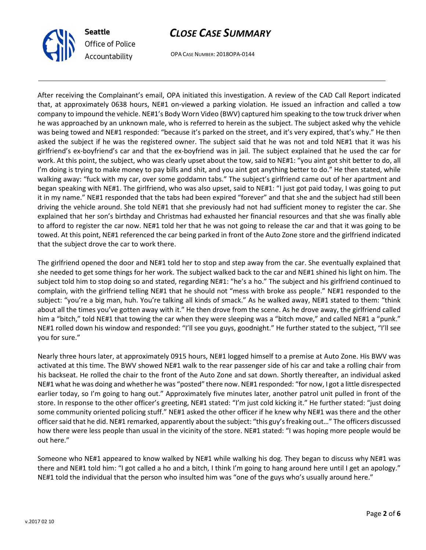

# CLOSE CASE SUMMARY

OPA CASE NUMBER: 2018OPA-0144

After receiving the Complainant's email, OPA initiated this investigation. A review of the CAD Call Report indicated that, at approximately 0638 hours, NE#1 on-viewed a parking violation. He issued an infraction and called a tow company to impound the vehicle. NE#1's Body Worn Video (BWV) captured him speaking to the tow truck driver when he was approached by an unknown male, who is referred to herein as the subject. The subject asked why the vehicle was being towed and NE#1 responded: "because it's parked on the street, and it's very expired, that's why." He then asked the subject if he was the registered owner. The subject said that he was not and told NE#1 that it was his girlfriend's ex-boyfriend's car and that the ex-boyfriend was in jail. The subject explained that he used the car for work. At this point, the subject, who was clearly upset about the tow, said to NE#1: "you aint got shit better to do, all I'm doing is trying to make money to pay bills and shit, and you aint got anything better to do." He then stated, while walking away: "fuck with my car, over some goddamn tabs." The subject's girlfriend came out of her apartment and began speaking with NE#1. The girlfriend, who was also upset, said to NE#1: "I just got paid today, I was going to put it in my name." NE#1 responded that the tabs had been expired "forever" and that she and the subject had still been driving the vehicle around. She told NE#1 that she previously had not had sufficient money to register the car. She explained that her son's birthday and Christmas had exhausted her financial resources and that she was finally able to afford to register the car now. NE#1 told her that he was not going to release the car and that it was going to be towed. At this point, NE#1 referenced the car being parked in front of the Auto Zone store and the girlfriend indicated that the subject drove the car to work there.

The girlfriend opened the door and NE#1 told her to stop and step away from the car. She eventually explained that she needed to get some things for her work. The subject walked back to the car and NE#1 shined his light on him. The subject told him to stop doing so and stated, regarding NE#1: "he's a ho." The subject and his girlfriend continued to complain, with the girlfriend telling NE#1 that he should not "mess with broke ass people." NE#1 responded to the subject: "you're a big man, huh. You're talking all kinds of smack." As he walked away, NE#1 stated to them: "think about all the times you've gotten away with it." He then drove from the scene. As he drove away, the girlfriend called him a "bitch," told NE#1 that towing the car when they were sleeping was a "bitch move," and called NE#1 a "punk." NE#1 rolled down his window and responded: "I'll see you guys, goodnight." He further stated to the subject, "I'll see you for sure."

Nearly three hours later, at approximately 0915 hours, NE#1 logged himself to a premise at Auto Zone. His BWV was activated at this time. The BWV showed NE#1 walk to the rear passenger side of his car and take a rolling chair from his backseat. He rolled the chair to the front of the Auto Zone and sat down. Shortly thereafter, an individual asked NE#1 what he was doing and whether he was "posted" there now. NE#1 responded: "for now, I got a little disrespected earlier today, so I'm going to hang out." Approximately five minutes later, another patrol unit pulled in front of the store. In response to the other officer's greeting, NE#1 stated: "I'm just cold kicking it." He further stated: "just doing some community oriented policing stuff." NE#1 asked the other officer if he knew why NE#1 was there and the other officer said that he did. NE#1 remarked, apparently about the subject: "this guy's freaking out…" The officers discussed how there were less people than usual in the vicinity of the store. NE#1 stated: "I was hoping more people would be out here."

Someone who NE#1 appeared to know walked by NE#1 while walking his dog. They began to discuss why NE#1 was there and NE#1 told him: "I got called a ho and a bitch, I think I'm going to hang around here until I get an apology." NE#1 told the individual that the person who insulted him was "one of the guys who's usually around here."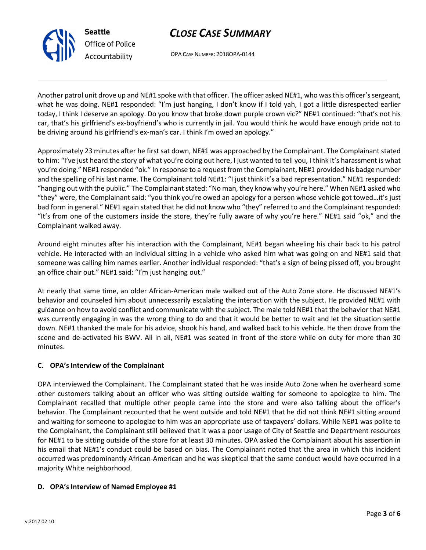minutes.

### D. OPA's Interview of Named Employee #1

C. OPA's Interview of the Complainant OPA interviewed the Complainant. The Complainant stated that he was inside Auto Zone when he overheard some other customers talking about an officer who was sitting outside waiting for someone to apologize to him. The Complainant recalled that multiple other people came into the store and were also talking about the officer's behavior. The Complainant recounted that he went outside and told NE#1 that he did not think NE#1 sitting around and waiting for someone to apologize to him was an appropriate use of taxpayers' dollars. While NE#1 was polite to the Complainant, the Complainant still believed that it was a poor usage of City of Seattle and Department resources for NE#1 to be sitting outside of the store for at least 30 minutes. OPA asked the Complainant about his assertion in his email that NE#1's conduct could be based on bias. The Complainant noted that the area in which this incident occurred was predominantly African-American and he was skeptical that the same conduct would have occurred in a majority White neighborhood.

Complainant walked away.

At nearly that same time, an older African-American male walked out of the Auto Zone store. He discussed NE#1's behavior and counseled him about unnecessarily escalating the interaction with the subject. He provided NE#1 with guidance on how to avoid conflict and communicate with the subject. The male told NE#1 that the behavior that NE#1 was currently engaging in was the wrong thing to do and that it would be better to wait and let the situation settle down. NE#1 thanked the male for his advice, shook his hand, and walked back to his vehicle. He then drove from the scene and de-activated his BWV. All in all, NE#1 was seated in front of the store while on duty for more than 30

Around eight minutes after his interaction with the Complainant, NE#1 began wheeling his chair back to his patrol vehicle. He interacted with an individual sitting in a vehicle who asked him what was going on and NE#1 said that someone was calling him names earlier. Another individual responded: "that's a sign of being pissed off, you brought an office chair out." NE#1 said: "I'm just hanging out."

be driving around his girlfriend's ex-man's car. I think I'm owed an apology." Approximately 23 minutes after he first sat down, NE#1 was approached by the Complainant. The Complainant stated to him: "I've just heard the story of what you're doing out here, I just wanted to tell you, I think it's harassment is what you're doing." NE#1 responded "ok." In response to a request from the Complainant, NE#1 provided his badge number and the spelling of his last name. The Complainant told NE#1: "I just think it's a bad representation." NE#1 responded: "hanging out with the public." The Complainant stated: "No man, they know why you're here." When NE#1 asked who

"they" were, the Complainant said: "you think you're owed an apology for a person whose vehicle got towed…it's just bad form in general." NE#1 again stated that he did not know who "they" referred to and the Complainant responded: "It's from one of the customers inside the store, they're fully aware of why you're here." NE#1 said "ok," and the

Another patrol unit drove up and NE#1 spoke with that officer. The officer asked NE#1, who was this officer's sergeant, what he was doing. NE#1 responded: "I'm just hanging, I don't know if I told yah, I got a little disrespected earlier today, I think I deserve an apology. Do you know that broke down purple crown vic?" NE#1 continued: "that's not his car, that's his girlfriend's ex-boyfriend's who is currently in jail. You would think he would have enough pride not to

# CLOSE CASE SUMMARY

OPA CASE NUMBER: 2018OPA-0144



Seattle

Office of Police Accountability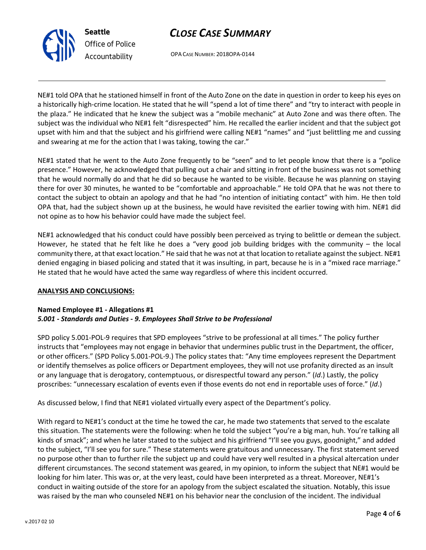



OPA CASE NUMBER: 2018OPA-0144

NE#1 told OPA that he stationed himself in front of the Auto Zone on the date in question in order to keep his eyes on a historically high-crime location. He stated that he will "spend a lot of time there" and "try to interact with people in the plaza." He indicated that he knew the subject was a "mobile mechanic" at Auto Zone and was there often. The subject was the individual who NE#1 felt "disrespected" him. He recalled the earlier incident and that the subject got upset with him and that the subject and his girlfriend were calling NE#1 "names" and "just belittling me and cussing and swearing at me for the action that I was taking, towing the car."

NE#1 stated that he went to the Auto Zone frequently to be "seen" and to let people know that there is a "police presence." However, he acknowledged that pulling out a chair and sitting in front of the business was not something that he would normally do and that he did so because he wanted to be visible. Because he was planning on staying there for over 30 minutes, he wanted to be "comfortable and approachable." He told OPA that he was not there to contact the subject to obtain an apology and that he had "no intention of initiating contact" with him. He then told OPA that, had the subject shown up at the business, he would have revisited the earlier towing with him. NE#1 did not opine as to how his behavior could have made the subject feel.

NE#1 acknowledged that his conduct could have possibly been perceived as trying to belittle or demean the subject. However, he stated that he felt like he does a "very good job building bridges with the community – the local community there, at that exact location." He said that he was not at that location to retaliate against the subject. NE#1 denied engaging in biased policing and stated that it was insulting, in part, because he is in a "mixed race marriage." He stated that he would have acted the same way regardless of where this incident occurred.

### ANALYSIS AND CONCLUSIONS:

### Named Employee #1 - Allegations #1 5.001 - Standards and Duties - 9. Employees Shall Strive to be Professional

SPD policy 5.001-POL-9 requires that SPD employees "strive to be professional at all times." The policy further instructs that "employees may not engage in behavior that undermines public trust in the Department, the officer, or other officers." (SPD Policy 5.001-POL-9.) The policy states that: "Any time employees represent the Department or identify themselves as police officers or Department employees, they will not use profanity directed as an insult or any language that is derogatory, contemptuous, or disrespectful toward any person." (Id.) Lastly, the policy proscribes: "unnecessary escalation of events even if those events do not end in reportable uses of force." (Id.)

As discussed below, I find that NE#1 violated virtually every aspect of the Department's policy.

With regard to NE#1's conduct at the time he towed the car, he made two statements that served to the escalate this situation. The statements were the following: when he told the subject "you're a big man, huh. You're talking all kinds of smack"; and when he later stated to the subject and his girlfriend "I'll see you guys, goodnight," and added to the subject, "I'll see you for sure." These statements were gratuitous and unnecessary. The first statement served no purpose other than to further rile the subject up and could have very well resulted in a physical altercation under different circumstances. The second statement was geared, in my opinion, to inform the subject that NE#1 would be looking for him later. This was or, at the very least, could have been interpreted as a threat. Moreover, NE#1's conduct in waiting outside of the store for an apology from the subject escalated the situation. Notably, this issue was raised by the man who counseled NE#1 on his behavior near the conclusion of the incident. The individual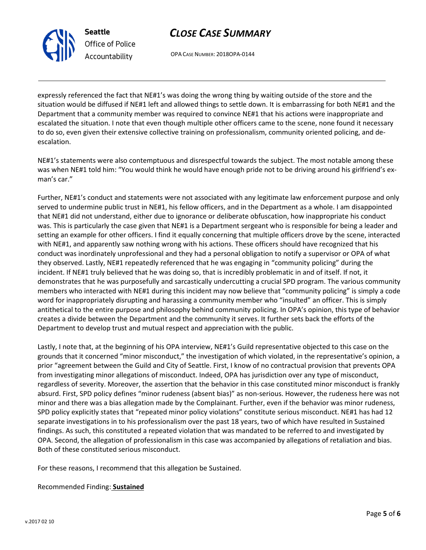

Seattle Office of Police Accountability

# CLOSE CASE SUMMARY

OPA CASE NUMBER: 2018OPA-0144

expressly referenced the fact that NE#1's was doing the wrong thing by waiting outside of the store and the situation would be diffused if NE#1 left and allowed things to settle down. It is embarrassing for both NE#1 and the Department that a community member was required to convince NE#1 that his actions were inappropriate and escalated the situation. I note that even though multiple other officers came to the scene, none found it necessary to do so, even given their extensive collective training on professionalism, community oriented policing, and deescalation.

NE#1's statements were also contemptuous and disrespectful towards the subject. The most notable among these was when NE#1 told him: "You would think he would have enough pride not to be driving around his girlfriend's exman's car."

Further, NE#1's conduct and statements were not associated with any legitimate law enforcement purpose and only served to undermine public trust in NE#1, his fellow officers, and in the Department as a whole. I am disappointed that NE#1 did not understand, either due to ignorance or deliberate obfuscation, how inappropriate his conduct was. This is particularly the case given that NE#1 is a Department sergeant who is responsible for being a leader and setting an example for other officers. I find it equally concerning that multiple officers drove by the scene, interacted with NE#1, and apparently saw nothing wrong with his actions. These officers should have recognized that his conduct was inordinately unprofessional and they had a personal obligation to notify a supervisor or OPA of what they observed. Lastly, NE#1 repeatedly referenced that he was engaging in "community policing" during the incident. If NE#1 truly believed that he was doing so, that is incredibly problematic in and of itself. If not, it demonstrates that he was purposefully and sarcastically undercutting a crucial SPD program. The various community members who interacted with NE#1 during this incident may now believe that "community policing" is simply a code word for inappropriately disrupting and harassing a community member who "insulted" an officer. This is simply antithetical to the entire purpose and philosophy behind community policing. In OPA's opinion, this type of behavior creates a divide between the Department and the community it serves. It further sets back the efforts of the Department to develop trust and mutual respect and appreciation with the public.

Lastly, I note that, at the beginning of his OPA interview, NE#1's Guild representative objected to this case on the grounds that it concerned "minor misconduct," the investigation of which violated, in the representative's opinion, a prior "agreement between the Guild and City of Seattle. First, I know of no contractual provision that prevents OPA from investigating minor allegations of misconduct. Indeed, OPA has jurisdiction over any type of misconduct, regardless of severity. Moreover, the assertion that the behavior in this case constituted minor misconduct is frankly absurd. First, SPD policy defines "minor rudeness (absent bias)" as non-serious. However, the rudeness here was not minor and there was a bias allegation made by the Complainant. Further, even if the behavior was minor rudeness, SPD policy explicitly states that "repeated minor policy violations" constitute serious misconduct. NE#1 has had 12 separate investigations in to his professionalism over the past 18 years, two of which have resulted in Sustained findings. As such, this constituted a repeated violation that was mandated to be referred to and investigated by OPA. Second, the allegation of professionalism in this case was accompanied by allegations of retaliation and bias. Both of these constituted serious misconduct.

For these reasons, I recommend that this allegation be Sustained.

### Recommended Finding: Sustained